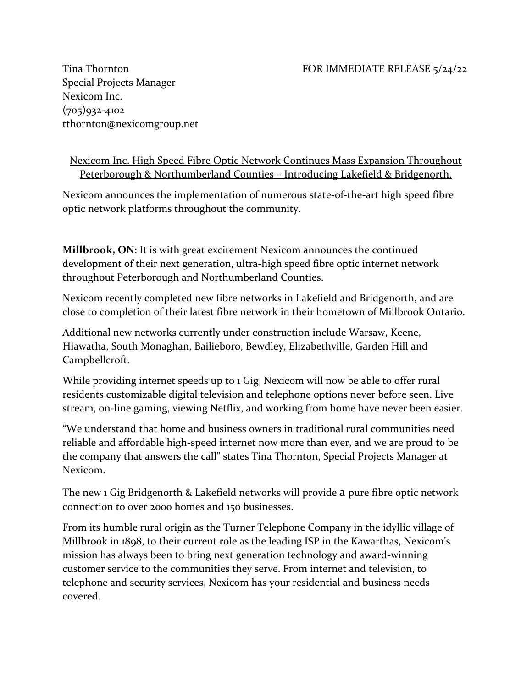## Tina Thornton **FOR IMMEDIATE RELEASE** 5/24/22

Special Projects Manager Nexicom Inc. (705)932-4102 tthornton@nexicomgroup.net

Nexicom Inc. High Speed Fibre Optic Network Continues Mass Expansion Throughout Peterborough & Northumberland Counties – Introducing Lakefield & Bridgenorth.

Nexicom announces the implementation of numerous state-of-the-art high speed fibre optic network platforms throughout the community.

**Millbrook, ON**: It is with great excitement Nexicom announces the continued development of their next generation, ultra-high speed fibre optic internet network throughout Peterborough and Northumberland Counties.

Nexicom recently completed new fibre networks in Lakefield and Bridgenorth, and are close to completion of their latest fibre network in their hometown of Millbrook Ontario.

Additional new networks currently under construction include Warsaw, Keene, Hiawatha, South Monaghan, Bailieboro, Bewdley, Elizabethville, Garden Hill and Campbellcroft.

While providing internet speeds up to 1 Gig, Nexicom will now be able to offer rural residents customizable digital television and telephone options never before seen. Live stream, on-line gaming, viewing Netflix, and working from home have never been easier.

"We understand that home and business owners in traditional rural communities need reliable and affordable high-speed internet now more than ever, and we are proud to be the company that answers the call" states Tina Thornton, Special Projects Manager at Nexicom.

The new 1 Gig Bridgenorth & Lakefield networks will provide a pure fibre optic network connection to over 2000 homes and 150 businesses.

From its humble rural origin as the Turner Telephone Company in the idyllic village of Millbrook in 1898, to their current role as the leading ISP in the Kawarthas, Nexicom's mission has always been to bring next generation technology and award-winning customer service to the communities they serve. From internet and television, to telephone and security services, Nexicom has your residential and business needs covered.